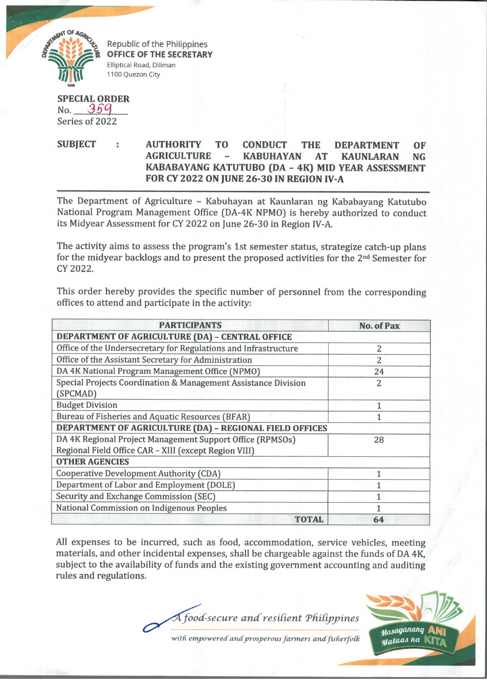

Republic of the Philippines OFFICE OF THE SECRETARY Elliptical Road, Diliman 1100 Quezon City

**SPECIAL ORDER** No. 359 Series of 2022

## **SUBJECT : AUTHORITY TO CONDUCT THE DEPARTMENT OF AGRICULTURE - KABUHAYAN AT KAUNLARAN NG KABABAYANG KATUTUBO (DA - 4K) MID YEAR ASSESSMENT FOR CY 2022 ON JUNE 26-30 IN REGION IV-A**

The Department of Agriculture - Kabuhayan at Kaunlaran ng Kababayang Katutubo National Program Management Office (DA-4K NPMO) is hereby authorized to conduct its Midyear Assessment for CY 2022 on June 26-30 in Region IV-A.

The activity aims to assess the program's 1st semester status, strategize catch-up plans for the midyear backlogs and to present the proposed activities for the 2nd Semester for CY 2022.

This order hereby provides the specific number of personnel from the corresponding offices to attend and participate in the activity:

| <b>PARTICIPANTS</b>                                             | <b>No. of Pax</b> |
|-----------------------------------------------------------------|-------------------|
| DEPARTMENT OF AGRICULTURE (DA) - CENTRAL OFFICE                 |                   |
| Office of the Undersecretary for Regulations and Infrastructure | 2                 |
| Office of the Assistant Secretary for Administration            | $\overline{2}$    |
| DA 4K National Program Management Office (NPMO)                 | 24                |
| Special Projects Coordination & Management Assistance Division  | 2                 |
| (SPCMAD)                                                        |                   |
| <b>Budget Division</b>                                          |                   |
| Bureau of Fisheries and Aquatic Resources (BFAR)                |                   |
| DEPARTMENT OF AGRICULTURE (DA) - REGIONAL FIELD OFFICES         |                   |
| DA 4K Regional Project Management Support Office (RPMSOs)       | 28                |
| Regional Field Office CAR - XIII (except Region VIII)           |                   |
| <b>OTHER AGENCIES</b>                                           |                   |
| <b>Cooperative Development Authority (CDA)</b>                  | 1                 |
| Department of Labor and Employment (DOLE)                       | 1                 |
| Security and Exchange Commission (SEC)                          |                   |
| National Commission on Indigenous Peoples                       | 1                 |
| <b>TOTAL</b>                                                    | 64                |

All expenses to be incurred, such as food, accommodation, service vehicles, meeting materials, and other incidental expenses, shall be chargeable against the funds of DA 4K, subject to the availability of funds and the existing government accounting and auditing rules and regulations.

A food-secure and resilient Philippines



with empowered and prosperous farmers and fisherfolk